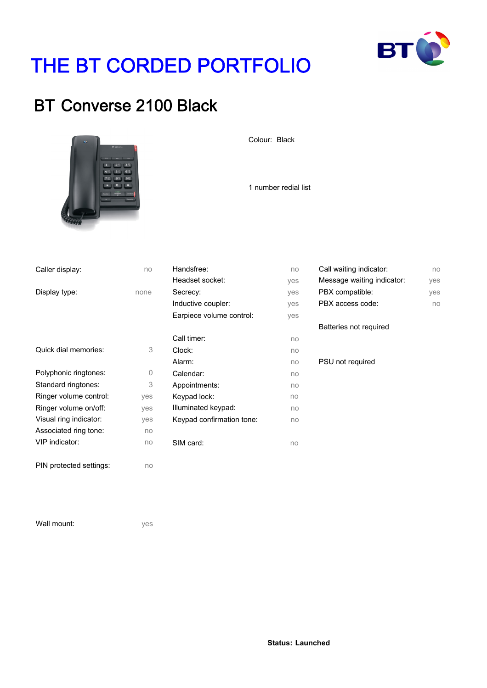

no yes yes no

# THE BT CORDED PORTFOLIO

### BT Converse 2100 Black



Colour: Black

1 number redial list

| Caller display:         | no   | Handsfree:                | no  | Call waiting indicator:    |
|-------------------------|------|---------------------------|-----|----------------------------|
|                         |      | Headset socket:           | ves | Message waiting indicator: |
| Display type:           | none | Secrecy:                  | yes | PBX compatible:            |
|                         |      | Inductive coupler:        | yes | PBX access code:           |
|                         |      | Earpiece volume control:  | yes |                            |
|                         |      |                           |     | Batteries not required     |
|                         |      | Call timer:               | no  |                            |
| Quick dial memories:    | 3    | Clock:                    | no  |                            |
|                         |      | Alarm:                    | no  | PSU not required           |
| Polyphonic ringtones:   | 0    | Calendar:                 | no  |                            |
| Standard ringtones:     | 3    | Appointments:             | no  |                            |
| Ringer volume control:  | yes  | Keypad lock:              | no  |                            |
| Ringer volume on/off:   | yes  | Illuminated keypad:       | no  |                            |
| Visual ring indicator:  | yes  | Keypad confirmation tone: | no  |                            |
| Associated ring tone:   | no   |                           |     |                            |
| VIP indicator:          | no   | SIM card:                 | no  |                            |
|                         |      |                           |     |                            |
| PIN protected settings: | no   |                           |     |                            |

Wall mount:

yes